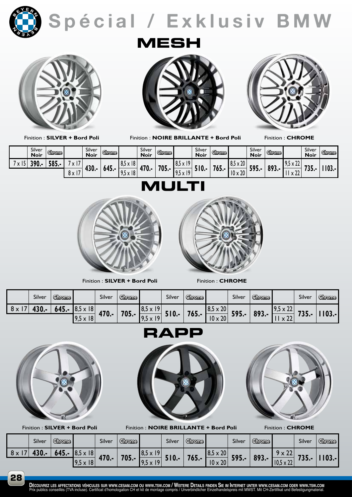

**Spécial / e xklusiv BMW**



Finition : **SILVER + Bord Poli**

**MESH**



Finition : **NOIRE BRILLANTE + Bord Poli**

Finition : **CHROME**

| Silver<br>Noir | <b>Chrome</b>      |                           | Silver<br><b>Noir</b> | Ghrome <sub>1</sub> |                                     | Silver<br><b>Noir</b> | <b>Chrome</b> |                                        | Silver<br><b>Noir</b> | <b>Chrome</b> |                                 | Silver<br><b>Noir</b> | Ghrame <sub>.</sub> |                                            | Silver<br><b>Noir</b> | Ghranne |
|----------------|--------------------|---------------------------|-----------------------|---------------------|-------------------------------------|-----------------------|---------------|----------------------------------------|-----------------------|---------------|---------------------------------|-----------------------|---------------------|--------------------------------------------|-----------------------|---------|
| 201            | <b>COC</b><br>JOJ. | $\lambda$<br>$\mathbf{v}$ | 430.                  | 645.                | $8,5 \times 18$                     | 470.-                 | 705.          | ۱۵<br>. O L<br>$\lambda$<br>  0,J X 17 |                       |               | $8,5 \times 20$                 | 595.                  |                     | $\mathbf{A}$<br>ΩD<br>$\lambda$<br>1.3.7.7 |                       | 103.    |
|                |                    | יי ש<br><b>OXI</b>        |                       |                     | 8<br>10 E<br>$\mathbf{v}$<br>$\sim$ |                       |               | ۱۵<br>40 F<br>$\lambda$<br>1,3,11      |                       | 765.          | $\mathbf{A}$<br>۱۸<br>1 U X 2 U |                       | 893.                | $\sim$<br>X 44                             | .                     |         |

## **MULTI**



Finition : **SILVER + Bord Poli** Finition : **CHROME** 



|    | Silver | <b>Chrome</b>   |                 | Silver | <b>Chrome</b>   |                  | Silver | <b>Ghrome</b>  |                 | Silver | <b>Chrome</b> |                 | Silver | Ghrome, |
|----|--------|-----------------|-----------------|--------|-----------------|------------------|--------|----------------|-----------------|--------|---------------|-----------------|--------|---------|
| 8x | I30.-  | 645.-           | $8,5 \times 18$ |        | $705. -$        | $18,5 \times 19$ |        |                | $8,5 \times 20$ |        |               | 7,J X <i>LL</i> |        |         |
|    |        | $9,5 \times 18$ | 470.-           |        | $9,5 \times 19$ | $510.-$          | 765.   | $10 \times 20$ | 595.-           | 893.-  | $\sim$        | $735. -$        |        |         |

**RAPP**



Finition : **SILVER + Bord Poli**



Finition : **NOIRE BRILLANTE + Bord Poli**



Finition : **CHROME**

|              | Silver | <b>Chrome</b>   |                         | Silver | <b>Chrome</b> |                | Silver   | Ghrome,        |                 | Silver | Chrome                            |                        | Silver | <b>Chrome</b> |
|--------------|--------|-----------------|-------------------------|--------|---------------|----------------|----------|----------------|-----------------|--------|-----------------------------------|------------------------|--------|---------------|
| $8 \times 1$ |        | $645. -$        | $x$ 18<br>$ 8,5\rangle$ | 470.-  |               | $8,5 \times 1$ |          |                | $8,5 \times 20$ |        |                                   | $\sim$<br><sup>0</sup> |        |               |
|              |        | $9,5 \times 18$ |                         | 705.   | 9,5           | 510.4          | $765. -$ | $10 \times 20$ | 595.-           | 893.-  | $\sim$<br>10F<br>$10,5 \times 22$ | , 35.-                 |        |               |